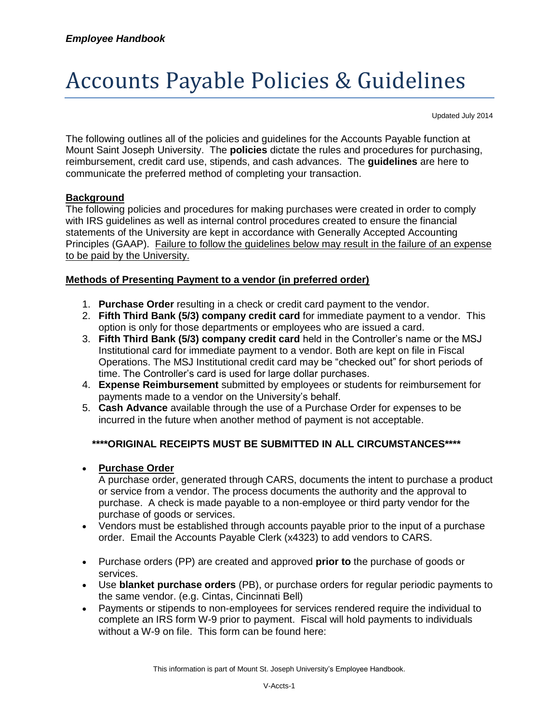# Accounts Payable Policies & Guidelines

Updated July 2014

The following outlines all of the policies and guidelines for the Accounts Payable function at Mount Saint Joseph University. The **policies** dictate the rules and procedures for purchasing, reimbursement, credit card use, stipends, and cash advances. The **guidelines** are here to communicate the preferred method of completing your transaction.

#### **Background**

The following policies and procedures for making purchases were created in order to comply with IRS guidelines as well as internal control procedures created to ensure the financial statements of the University are kept in accordance with Generally Accepted Accounting Principles (GAAP). Failure to follow the guidelines below may result in the failure of an expense to be paid by the University.

#### **Methods of Presenting Payment to a vendor (in preferred order)**

- 1. **Purchase Order** resulting in a check or credit card payment to the vendor.
- 2. **Fifth Third Bank (5/3) company credit card** for immediate payment to a vendor. This option is only for those departments or employees who are issued a card.
- 3. **Fifth Third Bank (5/3) company credit card** held in the Controller's name or the MSJ Institutional card for immediate payment to a vendor. Both are kept on file in Fiscal Operations. The MSJ Institutional credit card may be "checked out" for short periods of time. The Controller's card is used for large dollar purchases.
- 4. **Expense Reimbursement** submitted by employees or students for reimbursement for payments made to a vendor on the University's behalf.
- 5. **Cash Advance** available through the use of a Purchase Order for expenses to be incurred in the future when another method of payment is not acceptable.

## **\*\*\*\*ORIGINAL RECEIPTS MUST BE SUBMITTED IN ALL CIRCUMSTANCES\*\*\*\***

**Purchase Order**

A purchase order, generated through CARS, documents the intent to purchase a product or service from a vendor. The process documents the authority and the approval to purchase. A check is made payable to a non-employee or third party vendor for the purchase of goods or services.

- Vendors must be established through accounts payable prior to the input of a purchase order. Email the Accounts Payable Clerk (x4323) to add vendors to CARS.
- Purchase orders (PP) are created and approved **prior to** the purchase of goods or services.
- Use **blanket purchase orders** (PB), or purchase orders for regular periodic payments to the same vendor. (e.g. Cintas, Cincinnati Bell)
- Payments or stipends to non-employees for services rendered require the individual to complete an IRS form W-9 prior to payment. Fiscal will hold payments to individuals without a W-9 on file. This form can be found here: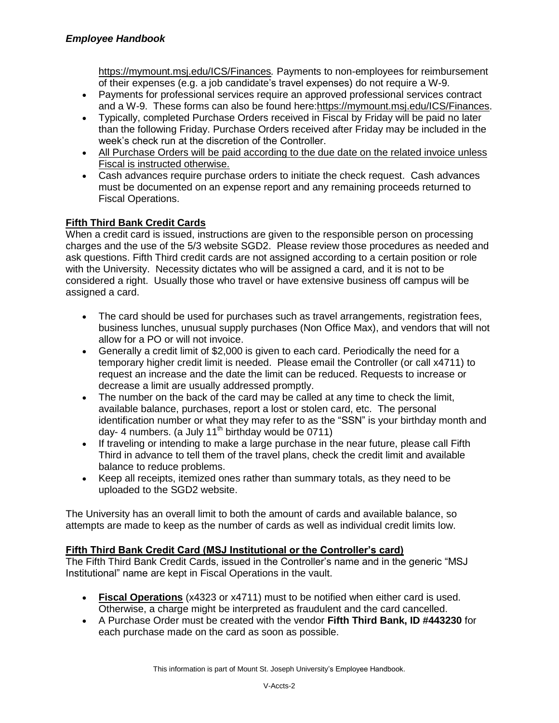<https://mymount.msj.edu/ICS/Finances>*.* Payments to non-employees for reimbursement of their expenses (e.g. a job candidate's travel expenses) do not require a W-9.

- Payments for professional services require an approved professional services contract and a W-9. These forms can also be found here[:https://mymount.msj.edu/ICS/Finances.](https://mymount.msj.edu/ICS/Finances)
- Typically, completed Purchase Orders received in Fiscal by Friday will be paid no later than the following Friday. Purchase Orders received after Friday may be included in the week's check run at the discretion of the Controller.
- All Purchase Orders will be paid according to the due date on the related invoice unless Fiscal is instructed otherwise.
- Cash advances require purchase orders to initiate the check request. Cash advances must be documented on an expense report and any remaining proceeds returned to Fiscal Operations.

# **Fifth Third Bank Credit Cards**

When a credit card is issued, instructions are given to the responsible person on processing charges and the use of the 5/3 website SGD2. Please review those procedures as needed and ask questions. Fifth Third credit cards are not assigned according to a certain position or role with the University. Necessity dictates who will be assigned a card, and it is not to be considered a right. Usually those who travel or have extensive business off campus will be assigned a card.

- The card should be used for purchases such as travel arrangements, registration fees, business lunches, unusual supply purchases (Non Office Max), and vendors that will not allow for a PO or will not invoice.
- Generally a credit limit of \$2,000 is given to each card. Periodically the need for a temporary higher credit limit is needed. Please email the Controller (or call x4711) to request an increase and the date the limit can be reduced. Requests to increase or decrease a limit are usually addressed promptly.
- The number on the back of the card may be called at any time to check the limit, available balance, purchases, report a lost or stolen card, etc. The personal identification number or what they may refer to as the "SSN" is your birthday month and day- 4 numbers. (a July 11<sup>th</sup> birthday would be  $0711$ )
- If traveling or intending to make a large purchase in the near future, please call Fifth Third in advance to tell them of the travel plans, check the credit limit and available balance to reduce problems.
- Keep all receipts, itemized ones rather than summary totals, as they need to be uploaded to the SGD2 website.

The University has an overall limit to both the amount of cards and available balance, so attempts are made to keep as the number of cards as well as individual credit limits low.

# **Fifth Third Bank Credit Card (MSJ Institutional or the Controller's card)**

The Fifth Third Bank Credit Cards, issued in the Controller's name and in the generic "MSJ Institutional" name are kept in Fiscal Operations in the vault.

- **Fiscal Operations** (x4323 or x4711) must to be notified when either card is used. Otherwise, a charge might be interpreted as fraudulent and the card cancelled.
- A Purchase Order must be created with the vendor **Fifth Third Bank, ID #443230** for each purchase made on the card as soon as possible.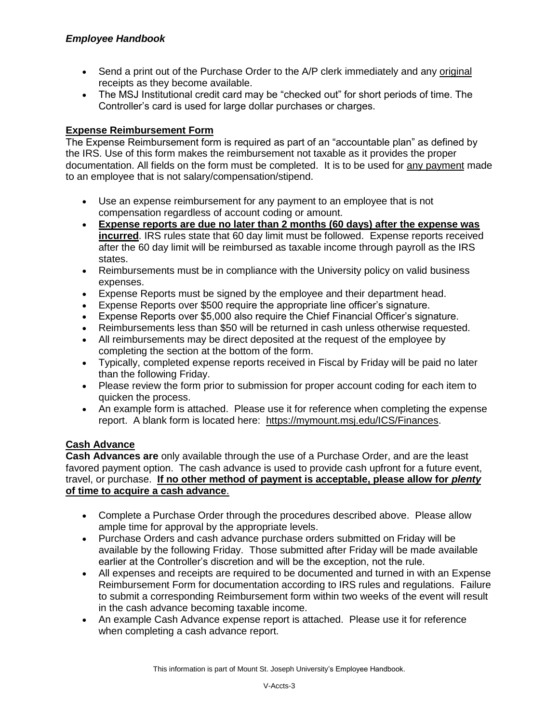- Send a print out of the Purchase Order to the A/P clerk immediately and any original receipts as they become available.
- The MSJ Institutional credit card may be "checked out" for short periods of time. The Controller's card is used for large dollar purchases or charges.

## **Expense Reimbursement Form**

The Expense Reimbursement form is required as part of an "accountable plan" as defined by the IRS. Use of this form makes the reimbursement not taxable as it provides the proper documentation. All fields on the form must be completed. It is to be used for any payment made to an employee that is not salary/compensation/stipend.

- Use an expense reimbursement for any payment to an employee that is not compensation regardless of account coding or amount.
- **Expense reports are due no later than 2 months (60 days) after the expense was incurred**. IRS rules state that 60 day limit must be followed. Expense reports received after the 60 day limit will be reimbursed as taxable income through payroll as the IRS states.
- Reimbursements must be in compliance with the University policy on valid business expenses.
- Expense Reports must be signed by the employee and their department head.
- Expense Reports over \$500 require the appropriate line officer's signature.
- Expense Reports over \$5,000 also require the Chief Financial Officer's signature.
- Reimbursements less than \$50 will be returned in cash unless otherwise requested.
- All reimbursements may be direct deposited at the request of the employee by completing the section at the bottom of the form.
- Typically, completed expense reports received in Fiscal by Friday will be paid no later than the following Friday.
- Please review the form prior to submission for proper account coding for each item to quicken the process.
- An example form is attached. Please use it for reference when completing the expense report. A blank form is located here: [https://mymount.msj.edu/ICS/Finances.](https://mymount.msj.edu/ICS/Finances)

#### **Cash Advance**

**Cash Advances are** only available through the use of a Purchase Order, and are the least favored payment option. The cash advance is used to provide cash upfront for a future event, travel, or purchase. **If no other method of payment is acceptable, please allow for** *plenty* **of time to acquire a cash advance**.

- Complete a Purchase Order through the procedures described above. Please allow ample time for approval by the appropriate levels.
- Purchase Orders and cash advance purchase orders submitted on Friday will be available by the following Friday. Those submitted after Friday will be made available earlier at the Controller's discretion and will be the exception, not the rule.
- All expenses and receipts are required to be documented and turned in with an Expense Reimbursement Form for documentation according to IRS rules and regulations. Failure to submit a corresponding Reimbursement form within two weeks of the event will result in the cash advance becoming taxable income.
- An example Cash Advance expense report is attached. Please use it for reference when completing a cash advance report.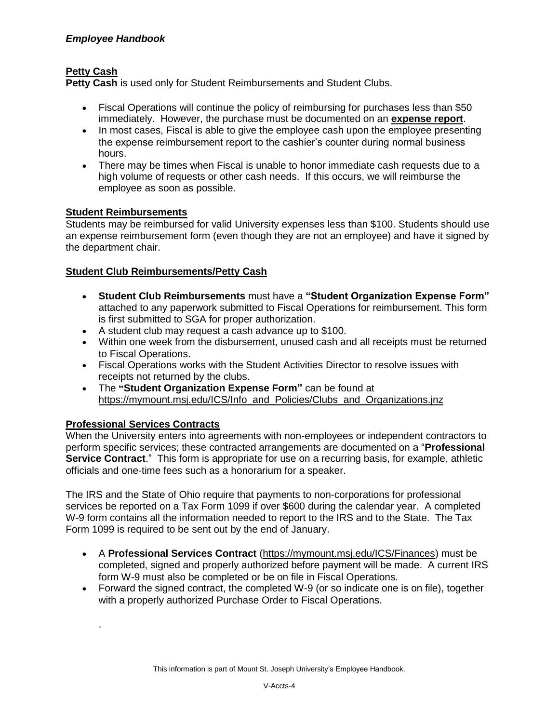# **Petty Cash**

**Petty Cash** is used only for Student Reimbursements and Student Clubs.

- Fiscal Operations will continue the policy of reimbursing for purchases less than \$50 immediately. However, the purchase must be documented on an **expense report**.
- In most cases, Fiscal is able to give the employee cash upon the employee presenting the expense reimbursement report to the cashier's counter during normal business hours.
- There may be times when Fiscal is unable to honor immediate cash requests due to a high volume of requests or other cash needs. If this occurs, we will reimburse the employee as soon as possible.

## **Student Reimbursements**

Students may be reimbursed for valid University expenses less than \$100. Students should use an expense reimbursement form (even though they are not an employee) and have it signed by the department chair.

## **Student Club Reimbursements/Petty Cash**

- **Student Club Reimbursements** must have a **"Student Organization Expense Form"** attached to any paperwork submitted to Fiscal Operations for reimbursement. This form is first submitted to SGA for proper authorization.
- A student club may request a cash advance up to \$100.
- Within one week from the disbursement, unused cash and all receipts must be returned to Fiscal Operations.
- Fiscal Operations works with the Student Activities Director to resolve issues with receipts not returned by the clubs.
- The **"Student Organization Expense Form"** can be found at [https://mymount.msj.edu/ICS/Info\\_and\\_Policies/Clubs\\_and\\_Organizations.jnz](https://mymount.msj.edu/ICS/Info_and_Policies/Clubs_and_Organizations.jnz)

# **Professional Services Contracts**

.

When the University enters into agreements with non-employees or independent contractors to perform specific services; these contracted arrangements are documented on a "**Professional Service Contract**." This form is appropriate for use on a recurring basis, for example, athletic officials and one-time fees such as a honorarium for a speaker.

The IRS and the State of Ohio require that payments to non-corporations for professional services be reported on a Tax Form 1099 if over \$600 during the calendar year. A completed W-9 form contains all the information needed to report to the IRS and to the State. The Tax Form 1099 is required to be sent out by the end of January.

- A **Professional Services Contract** [\(https://mymount.msj.edu/ICS/Finances\)](https://mymount.msj.edu/ICS/Finances) must be completed, signed and properly authorized before payment will be made. A current IRS form W-9 must also be completed or be on file in Fiscal Operations.
- Forward the signed contract, the completed W-9 (or so indicate one is on file), together with a properly authorized Purchase Order to Fiscal Operations.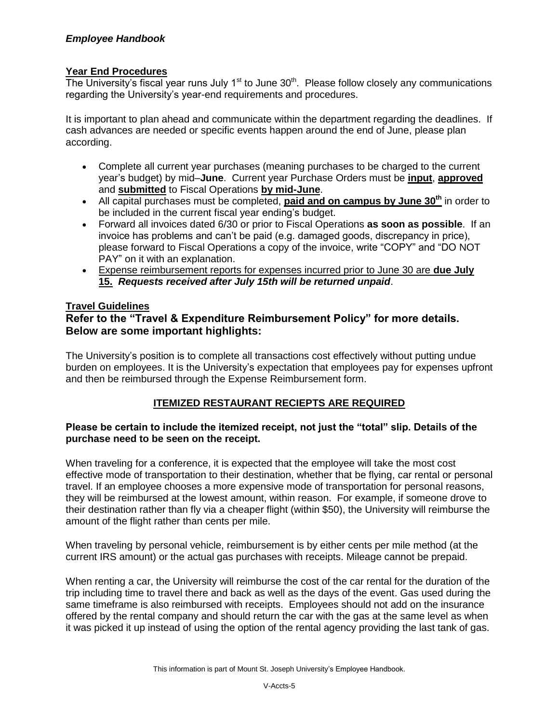## **Year End Procedures**

The University's fiscal year runs July  $1<sup>st</sup>$  to June  $30<sup>th</sup>$ . Please follow closely any communications regarding the University's year-end requirements and procedures.

It is important to plan ahead and communicate within the department regarding the deadlines. If cash advances are needed or specific events happen around the end of June, please plan according.

- Complete all current year purchases (meaning purchases to be charged to the current year's budget) by mid–**June**. Current year Purchase Orders must be **input**, **approved** and **submitted** to Fiscal Operations **by mid-June**.
- All capital purchases must be completed, **paid and on campus by June 30th** in order to be included in the current fiscal year ending's budget.
- Forward all invoices dated 6/30 or prior to Fiscal Operations **as soon as possible**. If an invoice has problems and can't be paid (e.g. damaged goods, discrepancy in price), please forward to Fiscal Operations a copy of the invoice, write "COPY" and "DO NOT PAY" on it with an explanation.
- Expense reimbursement reports for expenses incurred prior to June 30 are **due July 15.** *Requests received after July 15th will be returned unpaid*.

#### **Travel Guidelines**

## **Refer to the "Travel & Expenditure Reimbursement Policy" for more details. Below are some important highlights:**

The University's position is to complete all transactions cost effectively without putting undue burden on employees. It is the University's expectation that employees pay for expenses upfront and then be reimbursed through the Expense Reimbursement form.

## **ITEMIZED RESTAURANT RECIEPTS ARE REQUIRED**

#### **Please be certain to include the itemized receipt, not just the "total" slip. Details of the purchase need to be seen on the receipt.**

When traveling for a conference, it is expected that the employee will take the most cost effective mode of transportation to their destination, whether that be flying, car rental or personal travel. If an employee chooses a more expensive mode of transportation for personal reasons, they will be reimbursed at the lowest amount, within reason. For example, if someone drove to their destination rather than fly via a cheaper flight (within \$50), the University will reimburse the amount of the flight rather than cents per mile.

When traveling by personal vehicle, reimbursement is by either cents per mile method (at the current IRS amount) or the actual gas purchases with receipts. Mileage cannot be prepaid.

When renting a car, the University will reimburse the cost of the car rental for the duration of the trip including time to travel there and back as well as the days of the event. Gas used during the same timeframe is also reimbursed with receipts. Employees should not add on the insurance offered by the rental company and should return the car with the gas at the same level as when it was picked it up instead of using the option of the rental agency providing the last tank of gas.